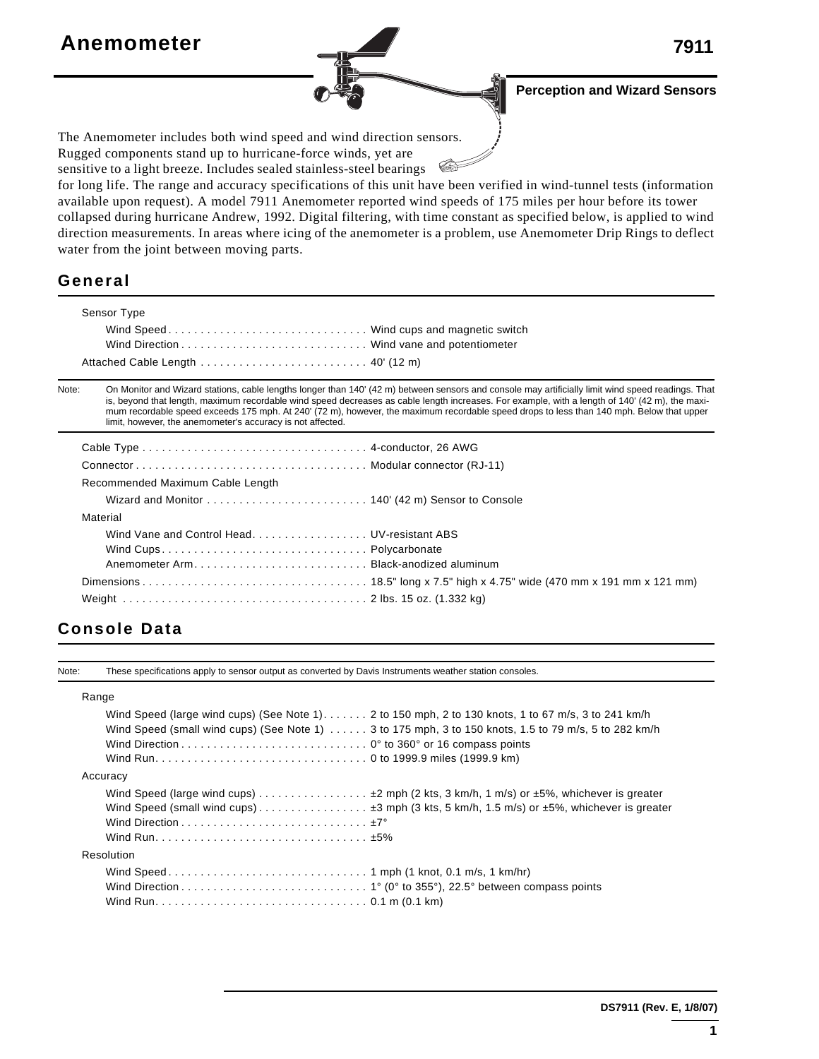# **Anemometer 7911**

**Perception and Wizard Sensors**

The Anemometer includes both wind speed and wind direction sensors. Rugged components stand up to hurricane-force winds, yet are

sensitive to a light breeze. Includes sealed stainless-steel bearings

for long life. The range and accuracy specifications of this unit have been verified in wind-tunnel tests (information available upon request). A model 7911 Anemometer reported wind speeds of 175 miles per hour before its tower collapsed during hurricane Andrew, 1992. Digital filtering, with time constant as specified below, is applied to wind direction measurements. In areas where icing of the anemometer is a problem, use Anemometer Drip Rings to deflect water from the joint between moving parts.

**CAFE** 

### **General**

|                                                                                            | Sensor Type                                                                                                                                                                                                                                                                                                                                                                                                                                                                                                     |  |  |  |  |
|--------------------------------------------------------------------------------------------|-----------------------------------------------------------------------------------------------------------------------------------------------------------------------------------------------------------------------------------------------------------------------------------------------------------------------------------------------------------------------------------------------------------------------------------------------------------------------------------------------------------------|--|--|--|--|
|                                                                                            | Wind Speed Wind cups and magnetic switch                                                                                                                                                                                                                                                                                                                                                                                                                                                                        |  |  |  |  |
|                                                                                            |                                                                                                                                                                                                                                                                                                                                                                                                                                                                                                                 |  |  |  |  |
| Attached Cable Length $\ldots \ldots \ldots \ldots \ldots \ldots \ldots \ldots$ 40' (12 m) |                                                                                                                                                                                                                                                                                                                                                                                                                                                                                                                 |  |  |  |  |
| Note:                                                                                      | On Monitor and Wizard stations, cable lengths longer than 140' (42 m) between sensors and console may artificially limit wind speed readings. That<br>is, beyond that length, maximum recordable wind speed decreases as cable length increases. For example, with a length of 140' (42 m), the maxi-<br>mum recordable speed exceeds 175 mph. At 240' (72 m), however, the maximum recordable speed drops to less than 140 mph. Below that upper<br>limit, however, the anemometer's accuracy is not affected. |  |  |  |  |
|                                                                                            |                                                                                                                                                                                                                                                                                                                                                                                                                                                                                                                 |  |  |  |  |
|                                                                                            |                                                                                                                                                                                                                                                                                                                                                                                                                                                                                                                 |  |  |  |  |
|                                                                                            | Recommended Maximum Cable Length                                                                                                                                                                                                                                                                                                                                                                                                                                                                                |  |  |  |  |
|                                                                                            |                                                                                                                                                                                                                                                                                                                                                                                                                                                                                                                 |  |  |  |  |
|                                                                                            | Material                                                                                                                                                                                                                                                                                                                                                                                                                                                                                                        |  |  |  |  |
|                                                                                            | Wind Vane and Control Head UV-resistant ABS                                                                                                                                                                                                                                                                                                                                                                                                                                                                     |  |  |  |  |
|                                                                                            |                                                                                                                                                                                                                                                                                                                                                                                                                                                                                                                 |  |  |  |  |
|                                                                                            |                                                                                                                                                                                                                                                                                                                                                                                                                                                                                                                 |  |  |  |  |
|                                                                                            |                                                                                                                                                                                                                                                                                                                                                                                                                                                                                                                 |  |  |  |  |
|                                                                                            |                                                                                                                                                                                                                                                                                                                                                                                                                                                                                                                 |  |  |  |  |

# **Console Data**

Note: These specifications apply to sensor output as converted by Davis Instruments weather station consoles.

#### Range

Wind Speed (large wind cups) (See Note 1). . . . . . . 2 to 150 mph, 2 to 130 knots, 1 to 67 m/s, 3 to 241 km/h Wind Speed (small wind cups) (See Note 1) . . . . . . 3 to 175 mph, 3 to 150 knots, 1.5 to 79 m/s, 5 to 282 km/h Wind Direction . . . . . . . . . . . . . . . . . . . . . . . . . . . . . 0° to 360° or 16 compass points Wind Run. . . . . . . . . . . . . . . . . . . . . . . . . . . . . . . . . 0 to 1999.9 miles (1999.9 km) Accuracy Wind Speed (large wind cups) . . . . . . . . . . . . . . . . . ±2 mph (2 kts, 3 km/h, 1 m/s) or ±5%, whichever is greater Wind Speed (small wind cups) . . . . . . . . . . . . . . . . . ±3 mph (3 kts, 5 km/h, 1.5 m/s) or ±5%, whichever is greater Wind Direction . . . . . . . . . . . . . . . . . . . . . . . . . . . . . ±7° Wind Run. . . . . . . . . . . . . . . . . . . . . . . . . . . . . . . . . ±5% Resolution Wind Speed . . . . . . . . . . . . . . . . . . . . . . . . . . . . . . . 1 mph (1 knot, 0.1 m/s, 1 km/hr) Wind Direction . . . . . . . . . . . . . . . . . . . . . . . . . . . . . 1° (0° to 355°), 22.5° between compass points Wind Run. . . . . . . . . . . . . . . . . . . . . . . . . . . . . . . . . 0.1 m (0.1 km)